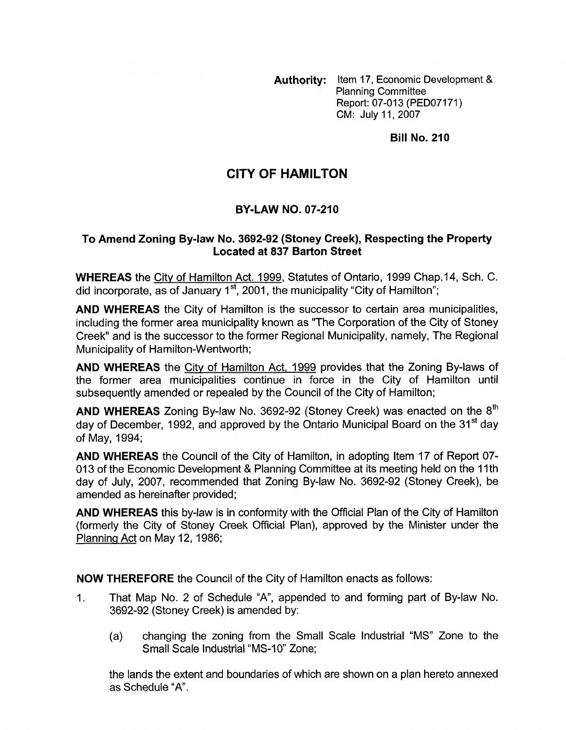Authority: Item 17, Economic Development & Planning Committee Report: 07-013 (PED07171) CM: July 11,2007

**Bill No. 210** 

# **CITY OF HAMILTON**

## **BY-LAW NO. 07-210**

#### **To Amend Zoning Bylaw No. 3692-92 (Stoney Creek), Respecting the Property Located at 837 Barton Street**

**WHEREAS** the City of Hamilton Act. 1999, Statutes of Ontario, 1999 Chap.14, Sch. C. did incorporate, as of January 1<sup>st</sup>, 2001, the municipality "City of Hamilton";

**AND WHEREAS** the City of Hamilton is the successor to certain area municipalities, including the former area municipality known as "The Corporation of the City of Stoney Creek" and is the successor to the former Regional Municipality, namely, The Regional Municipality of Hamilton-Wentworth;

**AND WHEREAS** the City of Hamilton Act, 1999 provides that the Zoning By-laws of the former area municipalities continue in force in the City of Hamilton until subsequently amended or repealed by the Council of the City of Hamilton;

**AND WHEREAS** Zoning By-law No. 3692-92 (Stoney Creek) was enacted on the 8<sup>th</sup> day of December, 1992, and approved by the Ontario Municipal Board on the 31<sup>st</sup> day of May, 1994;

**AND WHEREAS** the Council of the City of Hamilton, in adopting Item 17 of Report 07- 013 of the Economic Development & Planning Committee at its meeting held on the 11th day of July, 2007, recommended that Zoning By-law No. 3692-92 (Stoney Creek), be amended as hereinafter provided;

**AND WHEREAS** this by-law is in conformity with the Official Plan of the City of Hamilton (formerly the City of Stoney Creek Official Plan), approved by the Minister under the Planning Act on May 12, 1986;

**NOW THEREFORE** the Council of the City of Hamilton enacts as follows:

- 1. That Map No. 2 of Schedule "A', appended to and forming part of By-law No. 3692-92 (Stoney Creek) is amended by:
	- (a) changing the zoning from the Small Scale Industrial "MS" Zone to the Small Scale Industrial "MS-10" Zone;

the lands the extent and boundaries of which are shown on a plan hereto annexed as Schedule "A.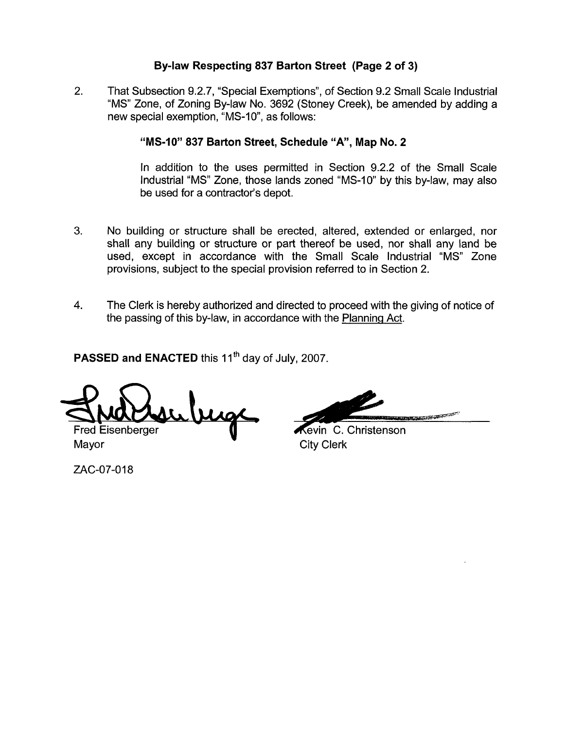## **By-law Respecting 837 Barton Street (Page 2 of 3)**

2. That Subsection 9.2.7, "Special Exemptions", of Section 9.2 Small Scale Industrial "MS" Zone, of Zoning By-law No. 3692 (Stoney Creek), be amended by adding a new special exemption, "MS-10", as follows:

### **"MS-10" 837 Barton Street, Schedule "A", Map No. 2**

In addition to the uses permitted in Section 9.2.2 of the Small Scale Industrial "MS" Zone, those lands zoned "MS-10" by this by-law, may also be used for a contractor's depot.

- **3.** No building or structure shall be erected, altered, extended or enlarged, nor shall any building or structure or part thereof be used, nor shall any land be used, except in accordance with the Small Scale Industrial "MS" Zone provisions, subject to the special provision referred to in Section 2.
- **4.** The Clerk is hereby authorized and directed to proceed with the giving of notice of the passing of this by-law, in accordance with the Planning Act.

PASSED and ENACTED this 11<sup>th</sup> day of July, 2007.

Fred Eisenberger

Mayor City Clerk

ZAC-07-018

**ANGELING COMPONENTS** 

**Kevin** C. Christenson